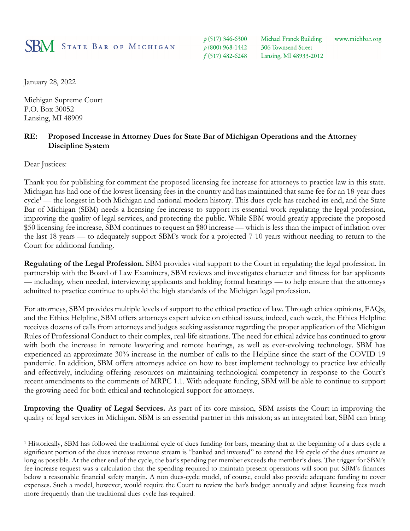## **SBM** STATE BAR OF MICHIGAN

 $p(517)$  346-6300 p (800) 968-1442  $f(517)$  482-6248 Michael Franck Building 306 Townsend Street Lansing, MI 48933-2012

www.michbar.org

January 28, 2022

Michigan Supreme Court P.O. Box 30052 Lansing, MI 48909

## **RE: Proposed Increase in Attorney Dues for State Bar of Michigan Operations and the Attorney Discipline System**

Dear Justices:

Thank you for publishing for comment the proposed licensing fee increase for attorneys to practice law in this state. Michigan has had one of the lowest licensing fees in the country and has maintained that same fee for an 18-year dues cycle<sup>1</sup> — the longest in both Michigan and national modern history. This dues cycle has reached its end, and the State Bar of Michigan (SBM) needs a licensing fee increase to support its essential work regulating the legal profession, improving the quality of legal services, and protecting the public. While SBM would greatly appreciate the proposed \$50 licensing fee increase, SBM continues to request an \$80 increase — which is less than the impact of inflation over the last 18 years — to adequately support SBM's work for a projected 7-10 years without needing to return to the Court for additional funding.

**Regulating of the Legal Profession.** SBM provides vital support to the Court in regulating the legal profession. In partnership with the Board of Law Examiners, SBM reviews and investigates character and fitness for bar applicants — including, when needed, interviewing applicants and holding formal hearings — to help ensure that the attorneys admitted to practice continue to uphold the high standards of the Michigan legal profession.

For attorneys, SBM provides multiple levels of support to the ethical practice of law. Through ethics opinions, FAQs, and the Ethics Helpline, SBM offers attorneys expert advice on ethical issues; indeed, each week, the Ethics Helpline receives dozens of calls from attorneys and judges seeking assistance regarding the proper application of the Michigan Rules of Professional Conduct to their complex, real-life situations. The need for ethical advice has continued to grow with both the increase in remote lawyering and remote hearings, as well as ever-evolving technology. SBM has experienced an approximate 30% increase in the number of calls to the Helpline since the start of the COVID-19 pandemic. In addition, SBM offers attorneys advice on how to best implement technology to practice law ethically and effectively, including offering resources on maintaining technological competency in response to the Court's recent amendments to the comments of MRPC 1.1. With adequate funding, SBM will be able to continue to support the growing need for both ethical and technological support for attorneys.

**Improving the Quality of Legal Services.** As part of its core mission, SBM assists the Court in improving the quality of legal services in Michigan. SBM is an essential partner in this mission; as an integrated bar, SBM can bring

<sup>1</sup> Historically, SBM has followed the traditional cycle of dues funding for bars, meaning that at the beginning of a dues cycle a significant portion of the dues increase revenue stream is "banked and invested" to extend the life cycle of the dues amount as long as possible. At the other end of the cycle, the bar's spending per member exceeds the member's dues. The trigger for SBM's fee increase request was a calculation that the spending required to maintain present operations will soon put SBM's finances below a reasonable financial safety margin. A non dues-cycle model, of course, could also provide adequate funding to cover expenses. Such a model, however, would require the Court to review the bar's budget annually and adjust licensing fees much more frequently than the traditional dues cycle has required.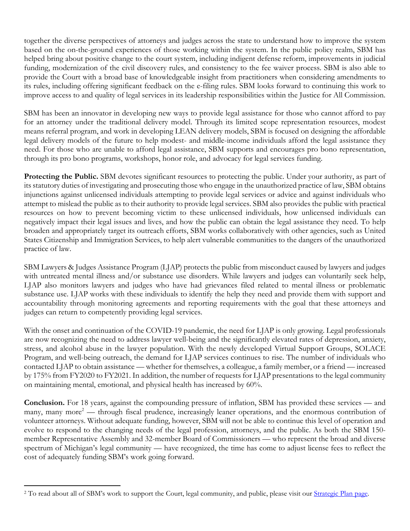together the diverse perspectives of attorneys and judges across the state to understand how to improve the system based on the on-the-ground experiences of those working within the system. In the public policy realm, SBM has helped bring about positive change to the court system, including indigent defense reform, improvements in judicial funding, modernization of the civil discovery rules, and consistency to the fee waiver process. SBM is also able to provide the Court with a broad base of knowledgeable insight from practitioners when considering amendments to its rules, including offering significant feedback on the e-filing rules. SBM looks forward to continuing this work to improve access to and quality of legal services in its leadership responsibilities within the Justice for All Commission.

SBM has been an innovator in developing new ways to provide legal assistance for those who cannot afford to pay for an attorney under the traditional delivery model. Through its limited scope representation resources, modest means referral program, and work in developing LEAN delivery models, SBM is focused on designing the affordable legal delivery models of the future to help modest- and middle-income individuals afford the legal assistance they need. For those who are unable to afford legal assistance, SBM supports and encourages pro bono representation, through its pro bono programs, workshops, honor role, and advocacy for legal services funding.

Protecting the Public. SBM devotes significant resources to protecting the public. Under your authority, as part of its statutory duties of investigating and prosecuting those who engage in the unauthorized practice of law, SBM obtains injunctions against unlicensed individuals attempting to provide legal services or advice and against individuals who attempt to mislead the public as to their authority to provide legal services. SBM also provides the public with practical resources on how to prevent becoming victim to these unlicensed individuals, how unlicensed individuals can negatively impact their legal issues and lives, and how the public can obtain the legal assistance they need. To help broaden and appropriately target its outreach efforts, SBM works collaboratively with other agencies, such as United States Citizenship and Immigration Services, to help alert vulnerable communities to the dangers of the unauthorized practice of law.

SBM Lawyers & Judges Assistance Program (LJAP) protects the public from misconduct caused by lawyers and judges with untreated mental illness and/or substance use disorders. While lawyers and judges can voluntarily seek help, LJAP also monitors lawyers and judges who have had grievances filed related to mental illness or problematic substance use. LJAP works with these individuals to identify the help they need and provide them with support and accountability through monitoring agreements and reporting requirements with the goal that these attorneys and judges can return to competently providing legal services.

With the onset and continuation of the COVID-19 pandemic, the need for LJAP is only growing. Legal professionals are now recognizing the need to address lawyer well-being and the significantly elevated rates of depression, anxiety, stress, and alcohol abuse in the lawyer population. With the newly developed Virtual Support Groups, SOLACE Program, and well-being outreach, the demand for LJAP services continues to rise. The number of individuals who contacted LJAP to obtain assistance — whether for themselves, a colleague, a family member, or a friend — increased by 175% from FY2020 to FY2021. In addition, the number of requests for LJAP presentations to the legal community on maintaining mental, emotional, and physical health has increased by 60%.

**Conclusion.** For 18 years, against the compounding pressure of inflation, SBM has provided these services — and many, many more<sup>2</sup> — through fiscal prudence, increasingly leaner operations, and the enormous contribution of volunteer attorneys. Without adequate funding, however, SBM will not be able to continue this level of operation and evolve to respond to the changing needs of the legal profession, attorneys, and the public. As both the SBM 150 member Representative Assembly and 32-member Board of Commissioners — who represent the broad and diverse spectrum of Michigan's legal community — have recognized, the time has come to adjust license fees to reflect the cost of adequately funding SBM's work going forward.

<sup>&</sup>lt;sup>2</sup> To read about all of SBM's work to support the Court, legal community, and public, please visit our *Strategic Plan page*.